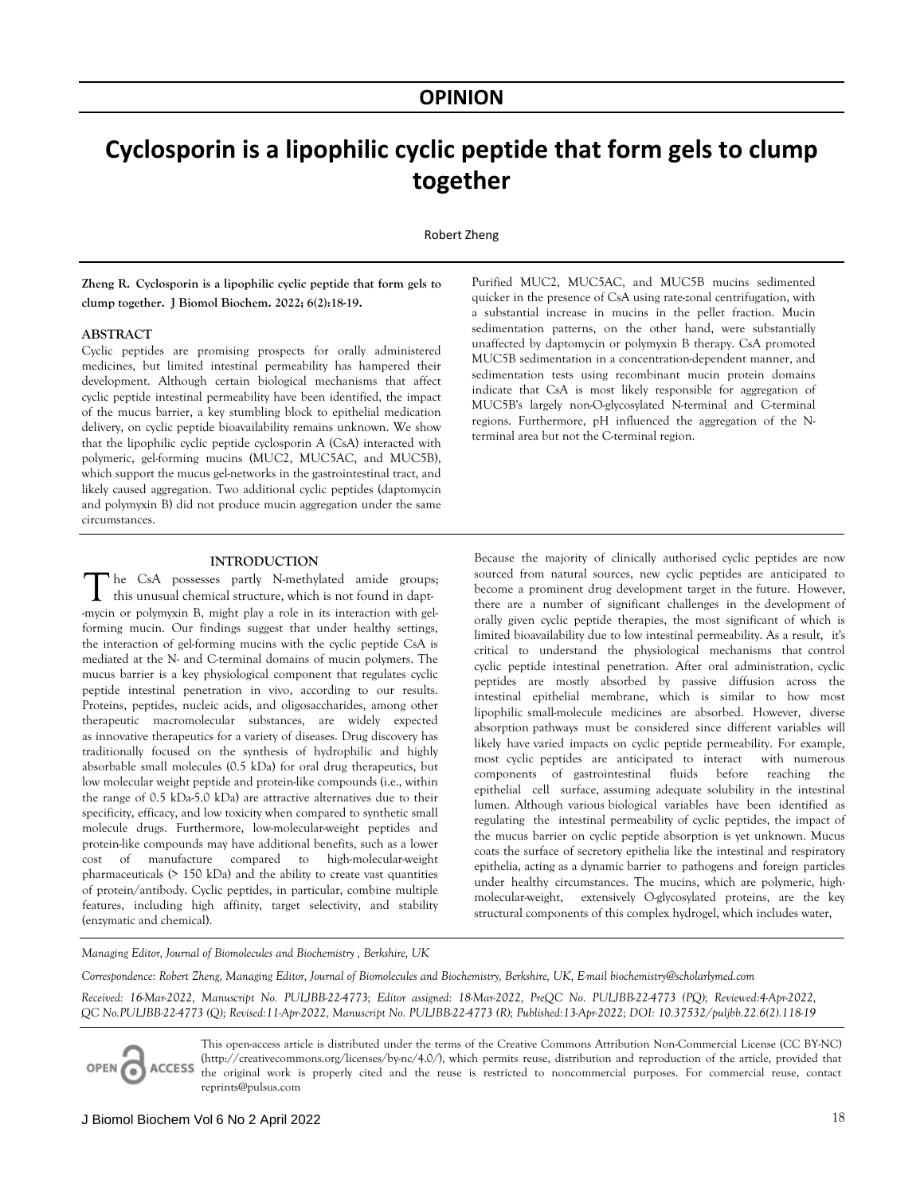## **OPINION**

# **Cyclosporin is a lipophilic cyclic peptide that form gels to clump together**

Robert Zheng

**Zheng R. Cyclosporin is a lipophilic cyclic peptide that form gels to clump together. J Biomol Biochem. 2022; 6(2):18-19.** 

#### **ABSTRACT**

Cyclic peptides are promising prospects for orally administered medicines, but limited intestinal permeability has hampered their development. Although certain biological mechanisms that affect cyclic peptide intestinal permeability have been identified, the impact of the mucus barrier, a key stumbling block to epithelial medication delivery, on cyclic peptide bioavailability remains unknown. We show that the lipophilic cyclic peptide cyclosporin A (CsA) interacted with polymeric, gel-forming mucins (MUC2, MUC5AC, and MUC5B), which support the mucus gel-networks in the gastrointestinal tract, and likely caused aggregation. Two additional cyclic peptides (daptomycin and polymyxin B) did not produce mucin aggregation under the same circumstances.

The CsA possesses partly N-methylated amide groups; this unusual chemical structure, which is not found in dapt--mycin or polymyxin B, might play a role in its interaction with gelforming mucin. Our findings suggest that under healthy settings, the interaction of gel-forming mucins with the cyclic peptide CsA is mediated at the N- and C-terminal domains of mucin polymers. The mucus barrier is a key physiological component that regulates cyclic peptide intestinal penetration in vivo, according to our results. Proteins, peptides, nucleic acids, and oligosaccharides, among other therapeutic macromolecular substances, are widely expected as innovative therapeutics for a variety of diseases. Drug discovery has traditionally focused on the synthesis of hydrophilic and highly absorbable small molecules (0.5 kDa) for oral drug therapeutics, but low molecular weight peptide and protein-like compounds (i.e., within the range of 0.5 kDa-5.0 kDa) are attractive alternatives due to their specificity, efficacy, and low toxicity when compared to synthetic small molecule drugs. Furthermore, low-molecular-weight peptides and protein-like compounds may have additional benefits, such as a lower cost of manufacture compared to high-molecular-weight pharmaceuticals (> 150 kDa) and the ability to create vast quantities of protein/antibody. Cyclic peptides, in particular, combine multiple features, including high affinity, target selectivity, and stability (enzymatic and chemical).

Purified MUC2, MUC5AC, and MUC5B mucins sedimented quicker in the presence of CsA using rate-zonal centrifugation, with a substantial increase in mucins in the pellet fraction. Mucin sedimentation patterns, on the other hand, were substantially unaffected by daptomycin or polymyxin B therapy. CsA promoted MUC5B sedimentation in a concentration-dependent manner, and sedimentation tests using recombinant mucin protein domains indicate that CsA is most likely responsible for aggregation of MUC5B's largely non-O-glycosylated N-terminal and C-terminal regions. Furthermore, pH influenced the aggregation of the Nterminal area but not the C-terminal region.

**INTRODUCTION** Because the majority of clinically authorised cyclic peptides are now sourced from natural sources, new cyclic peptides are anticipated to become a prominent drug development target in the future. However, there are a number of significant challenges in the development of orally given cyclic peptide therapies, the most significant of which is limited bioavailability due to low intestinal permeability. As a result, it's critical to understand the physiological mechanisms that control cyclic peptide intestinal penetration. After oral administration, cyclic peptides are mostly absorbed by passive diffusion across the intestinal epithelial membrane, which is similar to how most lipophilic small-molecule medicines are absorbed. However, diverse absorption pathways must be considered since different variables will likely have varied impacts on cyclic peptide permeability. For example, most cyclic peptides are anticipated to interact with numerous components of gastrointestinal fluids before reaching the epithelial cell surface, assuming adequate solubility in the intestinal lumen. Although various biological variables have been identified as regulating the intestinal permeability of cyclic peptides, the impact of the mucus barrier on cyclic peptide absorption is yet unknown. Mucus coats the surface of secretory epithelia like the intestinal and respiratory epithelia, acting as a dynamic barrier to pathogens and foreign particles under healthy circumstances. The mucins, which are polymeric, highmolecular-weight, extensively O-glycosylated proteins, are the key structural components of this complex hydrogel, which includes water,

*Managing Editor, Journal of Biomolecules and Biochemistry , Berkshire, UK* 

*Correspondence: Robert Zheng, Managing Editor, Journal of Biomolecules and Biochemistry, Berkshire, UK, E-mail biochemistry@scholarlymed.com* 

*Received: 16-Mar-2022, Manuscript No. PULJBB-22-4773; Editor assigned: 18-Mar-2022, PreQC No. PULJBB-22-4773 (PQ); Reviewed:4-Apr-2022, QC No.PULJBB-22-4773 (Q); Revised:11-Apr-2022, Manuscript No. PULJBB-22-4773 (R); Published:13-Apr-2022; DOI: 10.37532/puljbb.22.6(2).118-19*

**ACCESS** OPEN C

This open-access article is distributed under the terms of the Creative Commons Attribution Non-Commercial License (CC BY-NC) (http://creativecommons.org/licenses/by-nc/4.0/), which permits reuse, distribution and reproduction of the article, provided that the original work is properly cited and the reuse is restricted to noncommercial purposes. For commercial reuse, contact reprints@pulsus.com